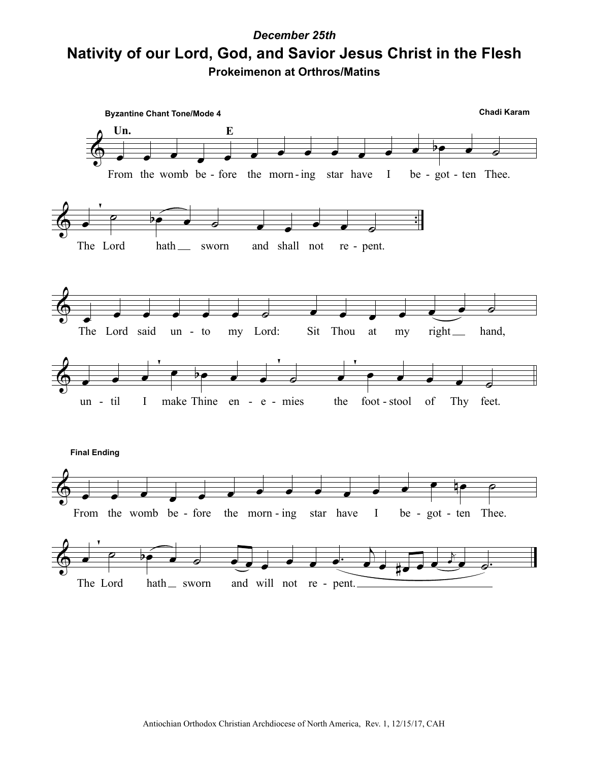## **Nativity of our Lord, God, and Savior Jesus Christ in the Flesh** *December 25th* **Prokeimenon at Orthros/Matins**